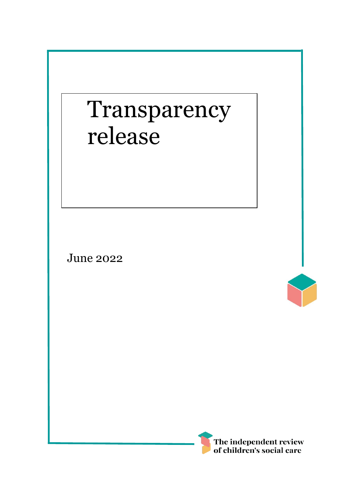# Transparency release

June 2022



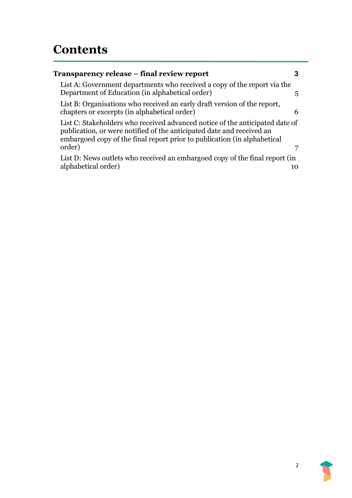| Transparency release – final review report                                                                                                                                                                                        | 3  |
|-----------------------------------------------------------------------------------------------------------------------------------------------------------------------------------------------------------------------------------|----|
| List A: Government departments who received a copy of the report via the<br>Department of Education (in alphabetical order)                                                                                                       | 5  |
| List B: Organisations who received an early draft version of the report,<br>chapters or excerpts (in alphabetical order)                                                                                                          | 6  |
| List C: Stakeholders who received advanced notice of the anticipated date of<br>publication, or were notified of the anticipated date and received an<br>embargoed copy of the final report prior to publication (in alphabetical |    |
| order)                                                                                                                                                                                                                            |    |
| List D: News outlets who received an embargoed copy of the final report (in                                                                                                                                                       |    |
| alphabetical order)                                                                                                                                                                                                               | 10 |
|                                                                                                                                                                                                                                   |    |

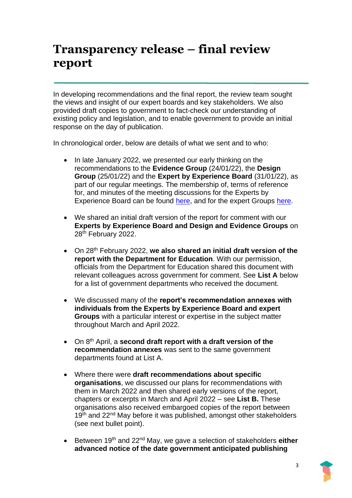## <span id="page-2-0"></span>**Transparency release – final review report**

In developing recommendations and the final report, the review team sought the views and insight of our expert boards and key stakeholders. We also provided draft copies to government to fact-check our understanding of existing policy and legislation, and to enable government to provide an initial response on the day of publication.

In chronological order, below are details of what we sent and to who:

- In late January 2022, we presented our early thinking on the recommendations to the **Evidence Group** (24/01/22), the **Design Group** (25/01/22) and the **Expert by Experience Board** (31/01/22), as part of our regular meetings. The membership of, terms of reference for, and minutes of the meeting discussions for the Experts by Experience Board can be found [here,](https://childrenssocialcare.independent-review.uk/experts/) and for the expert Groups [here.](https://childrenssocialcare.independent-review.uk/groups/)
- We shared an initial draft version of the report for comment with our **Experts by Experience Board and Design and Evidence Groups** on 28th February 2022.
- On 28th February 2022, **we also shared an initial draft version of the report with the Department for Education**. With our permission, officials from the Department for Education shared this document with relevant colleagues across government for comment. See **List A** below for a list of government departments who received the document.
- We discussed many of the **report's recommendation annexes with individuals from the Experts by Experience Board and expert Groups** with a particular interest or expertise in the subject matter throughout March and April 2022.
- On 8th April, a **second draft report with a draft version of the recommendation annexes** was sent to the same government departments found at List A.
- Where there were **draft recommendations about specific organisations**, we discussed our plans for recommendations with them in March 2022 and then shared early versions of the report, chapters or excerpts in March and April 2022 – see **List B.** These organisations also received embargoed copies of the report between 19<sup>th</sup> and 22<sup>nd</sup> May before it was published, amongst other stakeholders (see next bullet point).
- Between 19th and 22nd May, we gave a selection of stakeholders **either advanced notice of the date government anticipated publishing**

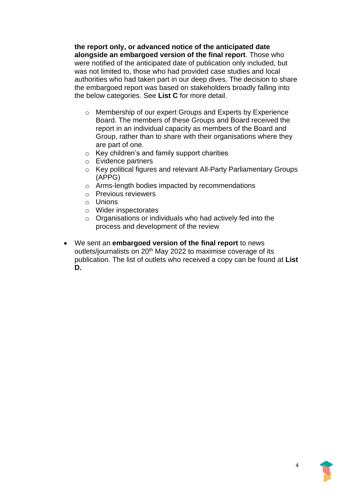**the report only, or advanced notice of the anticipated date alongside an embargoed version of the final report**. Those who were notified of the anticipated date of publication only included, but was not limited to, those who had provided case studies and local authorities who had taken part in our deep dives. The decision to share the embargoed report was based on stakeholders broadly falling into the below categories. See **List C** for more detail.

- o Membership of our expert Groups and Experts by Experience Board. The members of these Groups and Board received the report in an individual capacity as members of the Board and Group, rather than to share with their organisations where they are part of one.
- o Key children's and family support charities
- o Evidence partners
- o Key political figures and relevant All-Party Parliamentary Groups (APPG)
- o Arms-length bodies impacted by recommendations
- o Previous reviewers
- o Unions
- o Wider inspectorates
- o Organisations or individuals who had actively fed into the process and development of the review
- <span id="page-3-0"></span>• We sent an **embargoed version of the final report** to news outlets/journalists on 20<sup>th</sup> May 2022 to maximise coverage of its publication. The list of outlets who received a copy can be found at **List D.**

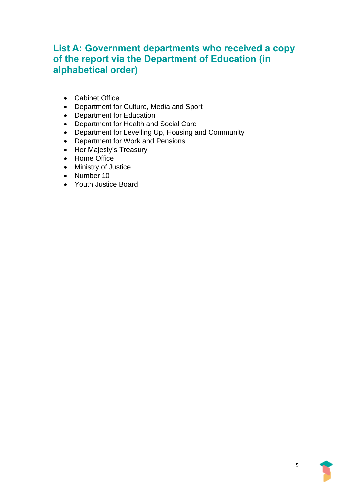### **List A: Government departments who received a copy of the report via the Department of Education (in alphabetical order)**

- Cabinet Office
- Department for Culture, Media and Sport
- Department for Education
- Department for Health and Social Care
- Department for Levelling Up, Housing and Community
- Department for Work and Pensions
- Her Majesty's Treasury
- Home Office
- Ministry of Justice
- Number 10
- <span id="page-4-0"></span>• Youth Justice Board

5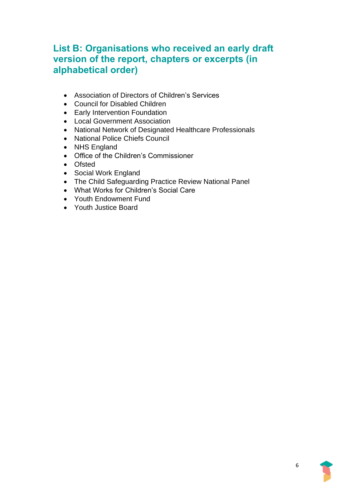#### **List B: Organisations who received an early draft version of the report, chapters or excerpts (in alphabetical order)**

- Association of Directors of Children's Services
- Council for Disabled Children
- Early Intervention Foundation
- Local Government Association
- National Network of Designated Healthcare Professionals
- National Police Chiefs Council
- NHS England
- Office of the Children's Commissioner
- Ofsted
- Social Work England
- The Child Safeguarding Practice Review National Panel
- What Works for Children's Social Care
- Youth Endowment Fund
- <span id="page-5-0"></span>• Youth Justice Board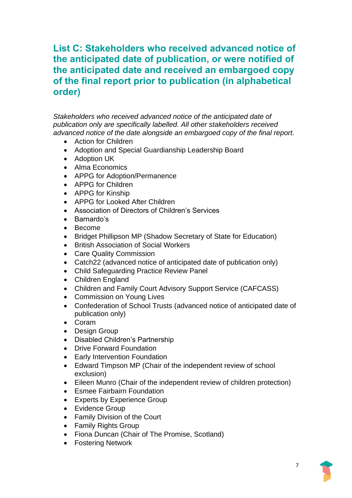#### **List C: Stakeholders who received advanced notice of the anticipated date of publication, or were notified of the anticipated date and received an embargoed copy of the final report prior to publication (in alphabetical order)**

*Stakeholders who received advanced notice of the anticipated date of publication only are specifically labelled. All other stakeholders received advanced notice of the date alongside an embargoed copy of the final report.* 

- Action for Children
- Adoption and Special Guardianship Leadership Board
- Adoption UK
- Alma Economics
- APPG for Adoption/Permanence
- APPG for Children
- APPG for Kinship
- APPG for Looked After Children
- Association of Directors of Children's Services
- Barnardo's
- Become
- Bridget Phillipson MP (Shadow Secretary of State for Education)
- British Association of Social Workers
- Care Quality Commission
- Catch22 (advanced notice of anticipated date of publication only)
- Child Safeguarding Practice Review Panel
- Children England
- Children and Family Court Advisory Support Service (CAFCASS)
- Commission on Young Lives
- Confederation of School Trusts (advanced notice of anticipated date of publication only)
- Coram
- Design Group
- Disabled Children's Partnership
- Drive Forward Foundation
- Early Intervention Foundation
- Edward Timpson MP (Chair of the independent review of school exclusion)
- Eileen Munro (Chair of the independent review of children protection)
- Esmee Fairbairn Foundation
- Experts by Experience Group
- Evidence Group
- Family Division of the Court
- Family Rights Group
- Fiona Duncan (Chair of The Promise, Scotland)
- Fostering Network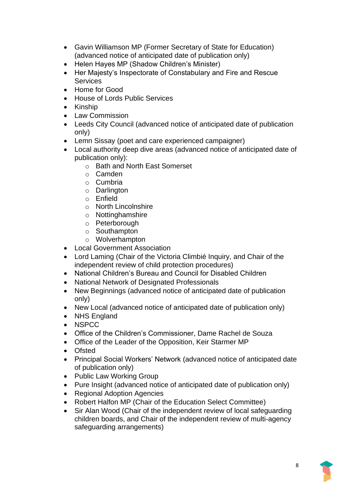- Gavin Williamson MP (Former Secretary of State for Education) (advanced notice of anticipated date of publication only)
- Helen Hayes MP (Shadow Children's Minister)
- Her Majesty's Inspectorate of Constabulary and Fire and Rescue **Services**
- Home for Good
- House of Lords Public Services
- Kinship
- Law Commission
- Leeds City Council (advanced notice of anticipated date of publication only)
- Lemn Sissay (poet and care experienced campaigner)
- Local authority deep dive areas (advanced notice of anticipated date of publication only):
	- o Bath and North East Somerset
	- o Camden
	- o Cumbria
	- o Darlington
	- o Enfield
	- o North Lincolnshire
	- o Nottinghamshire
	- o Peterborough
	- o Southampton
	- o Wolverhampton
- Local Government Association
- Lord Laming (Chair of the Victoria Climbié Inquiry, and Chair of the independent review of child protection procedures)
- National Children's Bureau and Council for Disabled Children
- National Network of Designated Professionals
- New Beginnings (advanced notice of anticipated date of publication only)
- New Local (advanced notice of anticipated date of publication only)
- NHS England
- NSPCC
- Office of the Children's Commissioner, Dame Rachel de Souza
- Office of the Leader of the Opposition, Keir Starmer MP
- Ofsted
- Principal Social Workers' Network (advanced notice of anticipated date of publication only)
- Public Law Working Group
- Pure Insight (advanced notice of anticipated date of publication only)
- Regional Adoption Agencies
- Robert Halfon MP (Chair of the Education Select Committee)
- Sir Alan Wood (Chair of the independent review of local safeguarding children boards, and Chair of the independent review of multi-agency safeguarding arrangements)

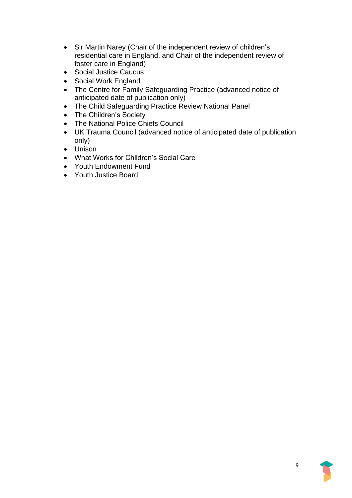- Sir Martin Narey (Chair of the independent review of children's residential care in England, and Chair of the independent review of foster care in England)
- Social Justice Caucus
- Social Work England
- The Centre for Family Safeguarding Practice (advanced notice of anticipated date of publication only)
- The Child Safeguarding Practice Review National Panel
- The Children's Society
- The National Police Chiefs Council
- UK Trauma Council (advanced notice of anticipated date of publication only)
- Unison
- What Works for Children's Social Care
- Youth Endowment Fund
- <span id="page-8-0"></span>• Youth Justice Board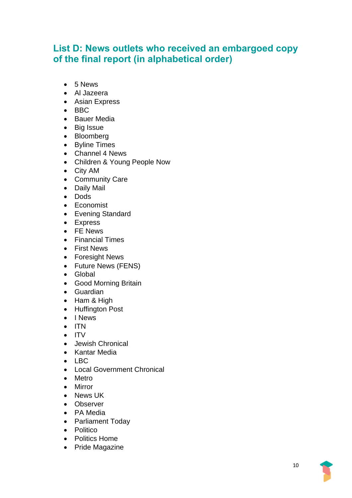#### **List D: News outlets who received an embargoed copy of the final report (in alphabetical order)**

- 5 News
- Al Jazeera
- Asian Express
- BBC
- Bauer Media
- Big Issue
- Bloomberg
- Byline Times
- Channel 4 News
- Children & Young People Now
- City AM
- Community Care
- Daily Mail
- Dods
- Economist
- Evening Standard
- Express
- FE News
- Financial Times
- First News
- Foresight News
- Future News (FENS)
- Global
- Good Morning Britain
- Guardian
- Ham & High
- Huffington Post
- I News
- ITN
- ITV
- Jewish Chronical
- Kantar Media
- $\bullet$  LBC.
- Local Government Chronical
- Metro
- Mirror
- News UK
- Observer
- PA Media
- Parliament Today
- Politico
- Politics Home
- Pride Magazine